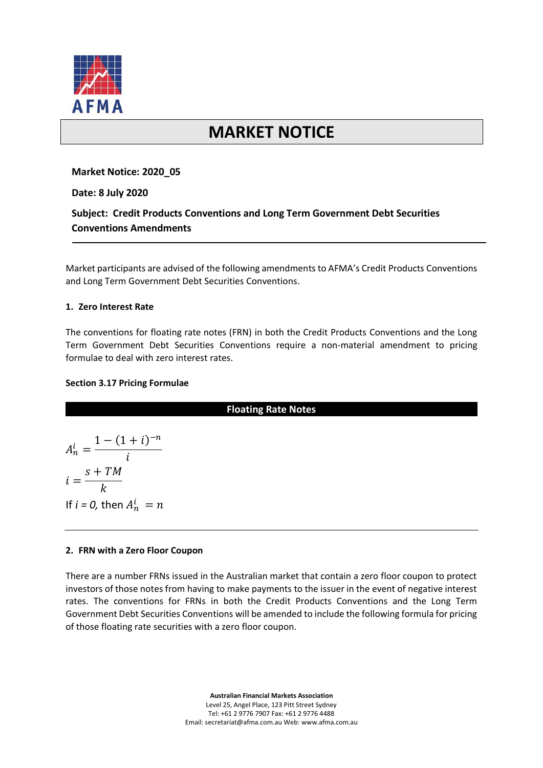

# **MARKET NOTICE**

## **Market Notice: 2020\_05**

**Date: 8 July 2020**

# **Subject: Credit Products Conventions and Long Term Government Debt Securities Conventions Amendments**

Market participants are advised of the following amendments to AFMA's Credit Products Conventions and Long Term Government Debt Securities Conventions.

### **1. Zero Interest Rate**

The conventions for floating rate notes (FRN) in both the Credit Products Conventions and the Long Term Government Debt Securities Conventions require a non-material amendment to pricing formulae to deal with zero interest rates.

### **Section 3.17 Pricing Formulae**

## **Floating Rate Notes**

$$
A_n^i = \frac{1 - (1 + i)^{-n}}{i}
$$
  

$$
i = \frac{s + TM}{k}
$$
  
If  $i = 0$ , then  $A_n^i = n$ 

#### **2. FRN with a Zero Floor Coupon**

There are a number FRNs issued in the Australian market that contain a zero floor coupon to protect investors of those notes from having to make payments to the issuer in the event of negative interest rates. The conventions for FRNs in both the Credit Products Conventions and the Long Term Government Debt Securities Conventions will be amended to include the following formula for pricing of those floating rate securities with a zero floor coupon.